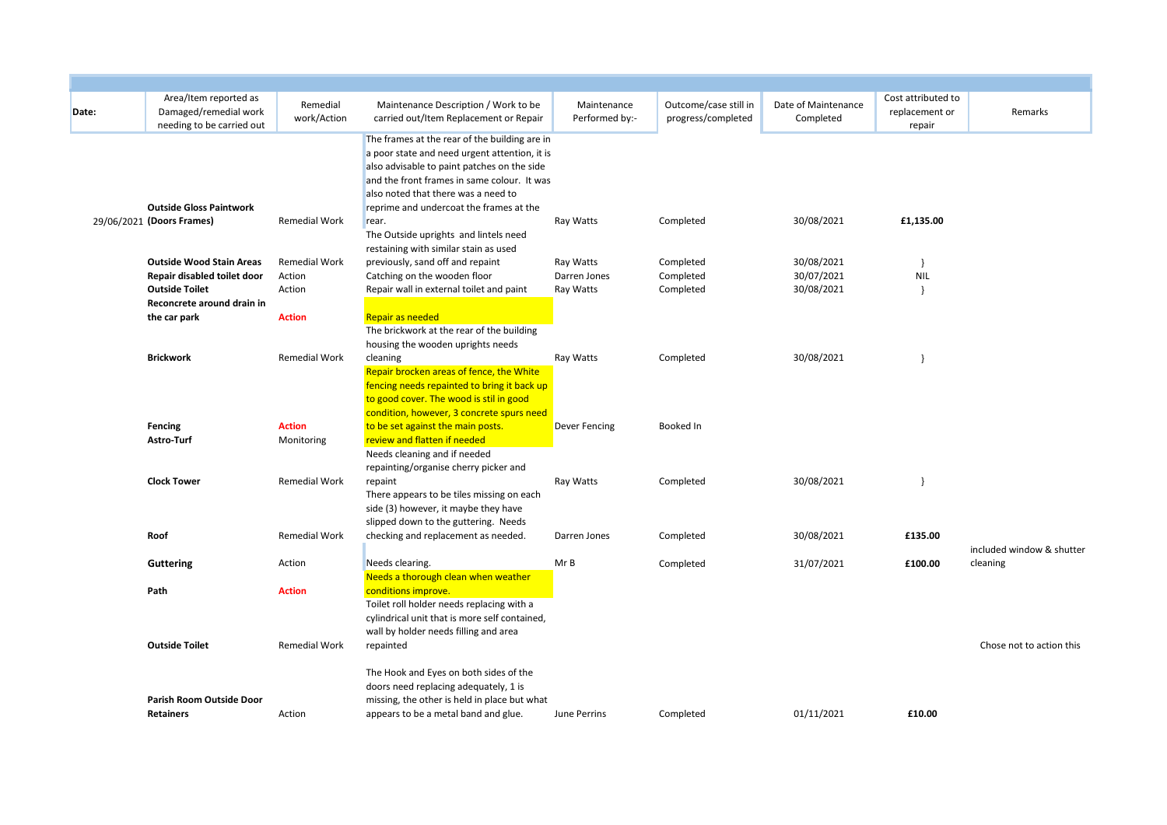| Date: | Area/Item reported as<br>Damaged/remedial work<br>needing to be carried out             | Remedial<br>work/Action                  | Maintenance Description / Work to be<br>carried out/Item Replacement or Repair                                                                                                                                                                                                 | Maintenance<br>Performed by:-          | Outcome/case still in<br>progress/completed | Date of Maintenance<br>Completed       | Cost attributed to<br>replacement or<br>repair | Remarks                   |
|-------|-----------------------------------------------------------------------------------------|------------------------------------------|--------------------------------------------------------------------------------------------------------------------------------------------------------------------------------------------------------------------------------------------------------------------------------|----------------------------------------|---------------------------------------------|----------------------------------------|------------------------------------------------|---------------------------|
|       | <b>Outside Gloss Paintwork</b>                                                          |                                          | The frames at the rear of the building are in<br>a poor state and need urgent attention, it is<br>also advisable to paint patches on the side<br>and the front frames in same colour. It was<br>also noted that there was a need to<br>reprime and undercoat the frames at the |                                        |                                             |                                        |                                                |                           |
|       | 29/06/2021 (Doors Frames)                                                               | <b>Remedial Work</b>                     | rear.<br>The Outside uprights and lintels need<br>restaining with similar stain as used                                                                                                                                                                                        | Ray Watts                              | Completed                                   | 30/08/2021                             | £1,135.00                                      |                           |
|       | <b>Outside Wood Stain Areas</b><br>Repair disabled toilet door<br><b>Outside Toilet</b> | <b>Remedial Work</b><br>Action<br>Action | previously, sand off and repaint<br>Catching on the wooden floor<br>Repair wall in external toilet and paint                                                                                                                                                                   | Ray Watts<br>Darren Jones<br>Ray Watts | Completed<br>Completed<br>Completed         | 30/08/2021<br>30/07/2021<br>30/08/2021 | - }<br><b>NIL</b><br>- 1                       |                           |
|       | Reconcrete around drain in<br>the car park                                              | <b>Action</b>                            | <b>Repair as needed</b><br>The brickwork at the rear of the building<br>housing the wooden uprights needs                                                                                                                                                                      |                                        |                                             |                                        |                                                |                           |
|       | <b>Brickwork</b>                                                                        | <b>Remedial Work</b>                     | cleaning<br>Repair brocken areas of fence, the White<br>fencing needs repainted to bring it back up<br>to good cover. The wood is stil in good<br>condition, however, 3 concrete spurs need                                                                                    | Ray Watts                              | Completed                                   | 30/08/2021                             |                                                |                           |
|       | Fencing<br>Astro-Turf                                                                   | <b>Action</b><br>Monitoring              | to be set against the main posts.<br>review and flatten if needed<br>Needs cleaning and if needed<br>repainting/organise cherry picker and                                                                                                                                     | Dever Fencing                          | Booked In                                   |                                        |                                                |                           |
|       | <b>Clock Tower</b>                                                                      | <b>Remedial Work</b>                     | repaint<br>There appears to be tiles missing on each<br>side (3) however, it maybe they have<br>slipped down to the guttering. Needs                                                                                                                                           | Ray Watts                              | Completed                                   | 30/08/2021                             |                                                |                           |
|       | Roof                                                                                    | <b>Remedial Work</b>                     | checking and replacement as needed.                                                                                                                                                                                                                                            | Darren Jones                           | Completed                                   | 30/08/2021                             | £135.00                                        | included window & shutter |
|       | <b>Guttering</b>                                                                        | Action                                   | Needs clearing.<br>Needs a thorough clean when weather                                                                                                                                                                                                                         | Mr B                                   | Completed                                   | 31/07/2021                             | £100.00                                        | cleaning                  |
|       | Path                                                                                    | <b>Action</b>                            | conditions improve.<br>Toilet roll holder needs replacing with a<br>cylindrical unit that is more self contained,<br>wall by holder needs filling and area                                                                                                                     |                                        |                                             |                                        |                                                |                           |
|       | <b>Outside Toilet</b>                                                                   | <b>Remedial Work</b>                     | repainted<br>The Hook and Eyes on both sides of the                                                                                                                                                                                                                            |                                        |                                             |                                        |                                                | Chose not to action this  |
|       | Parish Room Outside Door<br><b>Retainers</b>                                            | Action                                   | doors need replacing adequately, 1 is<br>missing, the other is held in place but what<br>appears to be a metal band and glue.                                                                                                                                                  | June Perrins                           | Completed                                   | 01/11/2021                             | £10.00                                         |                           |